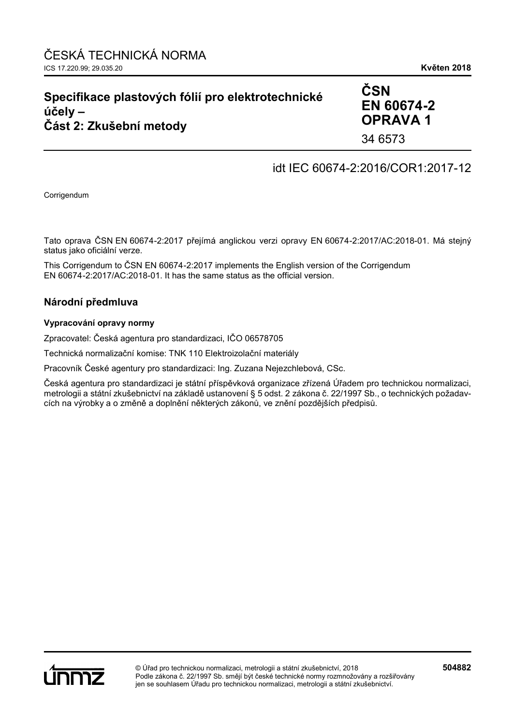# **Specifikace plastových fólií pro elektrotechnické účely – Část 2: Zkušební metody**

**ČSN EN 60674-2 OPRAVA 1**

34 6573

# idt IEC 60674-2:2016/COR1:2017-12

**Corrigendum** 

Tato oprava ČSN EN 60674-2:2017 přejímá anglickou verzi opravy EN 60674-2:2017/AC:2018-01. Má stejný status jako oficiální verze.

This Corrigendum to ČSN EN 60674-2:2017 implements the English version of the Corrigendum EN 60674-2:2017/AC:2018-01. It has the same status as the official version.

# **Národní předmluva**

#### **Vypracování opravy normy**

Zpracovatel: Česká agentura pro standardizaci, IČO 06578705

Technická normalizační komise: TNK 110 Elektroizolační materiály

Pracovník České agentury pro standardizaci: Ing. Zuzana Nejezchlebová, CSc.

Česká agentura pro standardizaci je státní příspěvková organizace zřízená Úřadem pro technickou normalizaci, metrologii a státní zkušebnictví na základě ustanovení § 5 odst. 2 zákona č. 22/1997 Sb., o technických požadavcích na výrobky a o změně a doplnění některých zákonů, ve znění pozdějších předpisů.

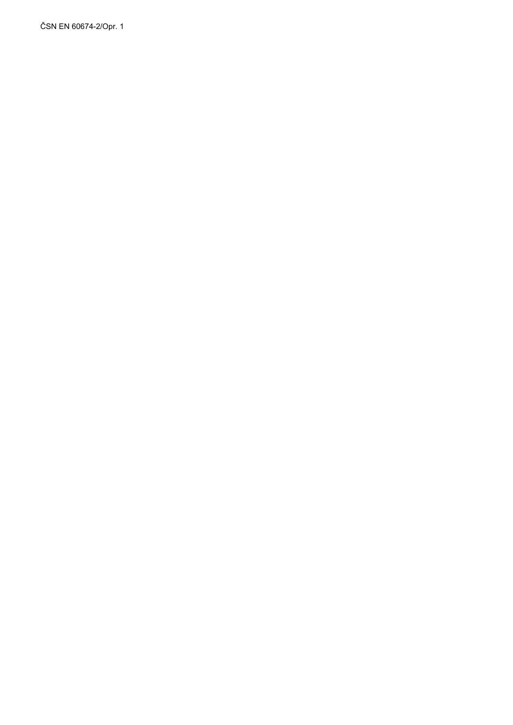ČSN EN 60674-2/Opr. 1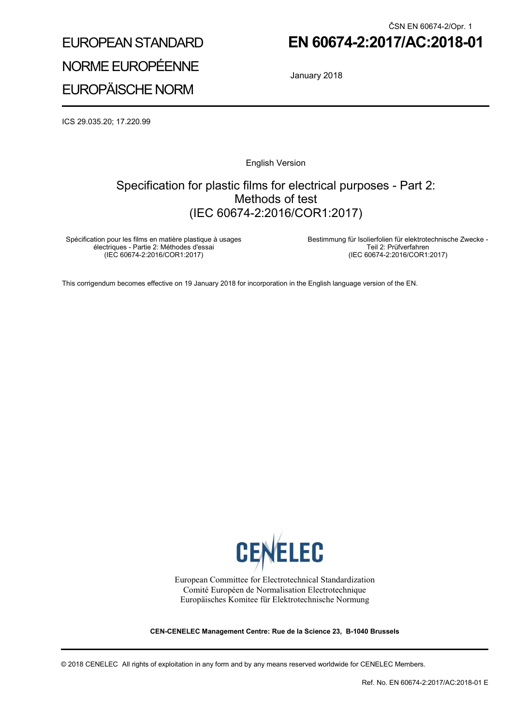# ČSN EN 60674-2/Opr. 1

# EUROPEAN STANDARD NORME EUROPÉENNE EUROPÄISCHE NORM



January 2018

ICS 29.035.20; 17.220.99

English Version

# Specification for plastic films for electrical purposes - Part 2: Methods of test (IEC 60674-2:2016/COR1:2017)

Spécification pour les films en matière plastique à usages électriques - Partie 2: Méthodes d'essai (IEC 60674-2:2016/COR1:2017)

 Bestimmung für Isolierfolien für elektrotechnische Zwecke - Teil 2: Prüfverfahren (IEC 60674-2:2016/COR1:2017)

This corrigendum becomes effective on 19 January 2018 for incorporation in the English language version of the EN.



European Committee for Electrotechnical Standardization Comité Européen de Normalisation Electrotechnique Europäisches Komitee für Elektrotechnische Normung

**CEN-CENELEC Management Centre: Rue de la Science 23, B-1040 Brussels** 

© 2018 CENELEC All rights of exploitation in any form and by any means reserved worldwide for CENELEC Members.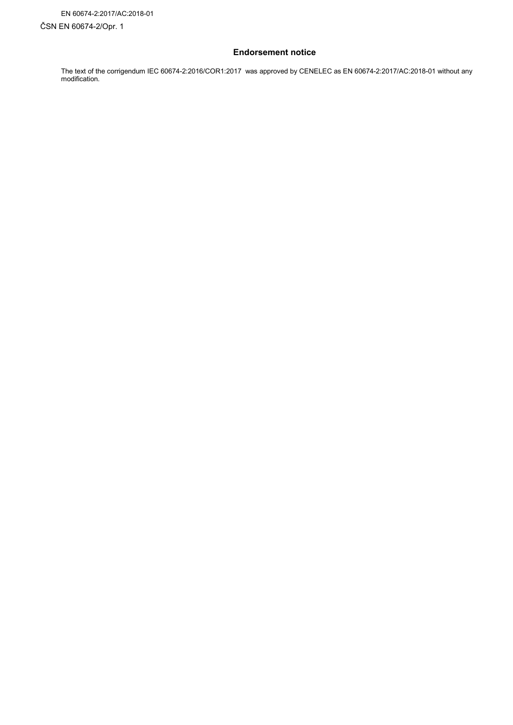EN 60674-2:2017/AC:2018-01

ČSN EN 60674-2/Opr. 1

# **Endorsement notice**

The text of the corrigendum IEC 60674-2:2016/COR1:2017 was approved by CENELEC as EN 60674-2:2017/AC:2018-01 without any modification.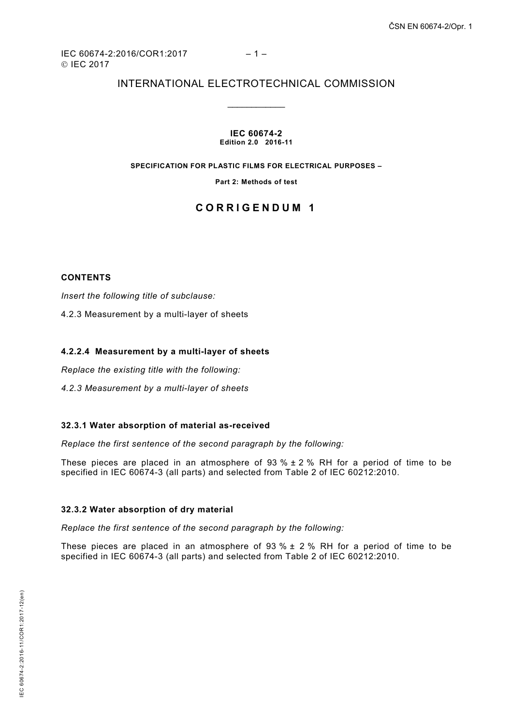IEC 60674-2:2016/COR1:2017 – 1 – © IEC 2017

# INTERNATIONAL ELECTROTECHNICAL COMMISSION

\_\_\_\_\_\_\_\_\_\_\_\_

#### **IEC 60674-2 Edition 2.0 2016-11**

**SPECIFICATION FOR PLASTIC FILMS FOR ELECTRICAL PURPOSES –** 

**Part 2: Methods of test**

# **CORRIGENDUM 1**

#### **CONTENTS**

*Insert the following title of subclause:*

4.2.3 Measurement by a multi-layer of sheets

# **4.2.2.4 Measurement by a multi-layer of sheets**

*Replace the existing title with the following:* 

*4.2.3 Measurement by a multi-layer of sheets*

# **32.3.1 Water absorption of material as-received**

*Replace the first sentence of the second paragraph by the following:*

These pieces are placed in an atmosphere of 93  $% \pm 2$  % RH for a period of time to be specified in IEC 60674-3 (all parts) and selected from Table 2 of IEC 60212:2010.

#### **32.3.2 Water absorption of dry material**

*Replace the first sentence of the second paragraph by the following:*

These pieces are placed in an atmosphere of  $93\% \pm 2\%$  RH for a period of time to be specified in IEC 60674-3 (all parts) and selected from Table 2 of IEC 60212:2010.